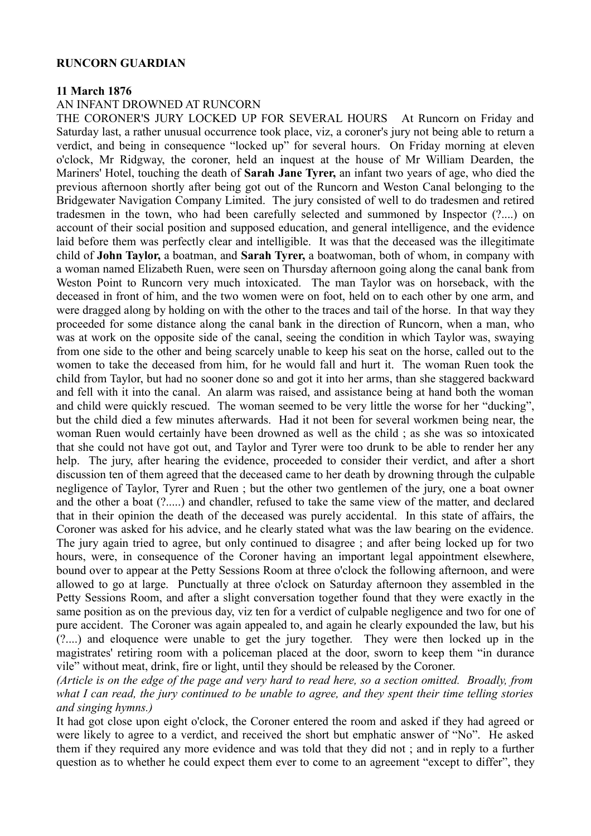## **RUNCORN GUARDIAN**

## **11 March 1876**

## AN INFANT DROWNED AT RUNCORN

THE CORONER'S JURY LOCKED UP FOR SEVERAL HOURS At Runcorn on Friday and Saturday last, a rather unusual occurrence took place, viz, a coroner's jury not being able to return a verdict, and being in consequence "locked up" for several hours. On Friday morning at eleven o'clock, Mr Ridgway, the coroner, held an inquest at the house of Mr William Dearden, the Mariners' Hotel, touching the death of **Sarah Jane Tyrer,** an infant two years of age, who died the previous afternoon shortly after being got out of the Runcorn and Weston Canal belonging to the Bridgewater Navigation Company Limited. The jury consisted of well to do tradesmen and retired tradesmen in the town, who had been carefully selected and summoned by Inspector (?....) on account of their social position and supposed education, and general intelligence, and the evidence laid before them was perfectly clear and intelligible. It was that the deceased was the illegitimate child of **John Taylor,** a boatman, and **Sarah Tyrer,** a boatwoman, both of whom, in company with a woman named Elizabeth Ruen, were seen on Thursday afternoon going along the canal bank from Weston Point to Runcorn very much intoxicated. The man Taylor was on horseback, with the deceased in front of him, and the two women were on foot, held on to each other by one arm, and were dragged along by holding on with the other to the traces and tail of the horse. In that way they proceeded for some distance along the canal bank in the direction of Runcorn, when a man, who was at work on the opposite side of the canal, seeing the condition in which Taylor was, swaying from one side to the other and being scarcely unable to keep his seat on the horse, called out to the women to take the deceased from him, for he would fall and hurt it. The woman Ruen took the child from Taylor, but had no sooner done so and got it into her arms, than she staggered backward and fell with it into the canal. An alarm was raised, and assistance being at hand both the woman and child were quickly rescued. The woman seemed to be very little the worse for her "ducking", but the child died a few minutes afterwards. Had it not been for several workmen being near, the woman Ruen would certainly have been drowned as well as the child ; as she was so intoxicated that she could not have got out, and Taylor and Tyrer were too drunk to be able to render her any help. The jury, after hearing the evidence, proceeded to consider their verdict, and after a short discussion ten of them agreed that the deceased came to her death by drowning through the culpable negligence of Taylor, Tyrer and Ruen ; but the other two gentlemen of the jury, one a boat owner and the other a boat (?.....) and chandler, refused to take the same view of the matter, and declared that in their opinion the death of the deceased was purely accidental. In this state of affairs, the Coroner was asked for his advice, and he clearly stated what was the law bearing on the evidence. The jury again tried to agree, but only continued to disagree ; and after being locked up for two hours, were, in consequence of the Coroner having an important legal appointment elsewhere, bound over to appear at the Petty Sessions Room at three o'clock the following afternoon, and were allowed to go at large. Punctually at three o'clock on Saturday afternoon they assembled in the Petty Sessions Room, and after a slight conversation together found that they were exactly in the same position as on the previous day, viz ten for a verdict of culpable negligence and two for one of pure accident. The Coroner was again appealed to, and again he clearly expounded the law, but his (?....) and eloquence were unable to get the jury together. They were then locked up in the magistrates' retiring room with a policeman placed at the door, sworn to keep them "in durance vile" without meat, drink, fire or light, until they should be released by the Coroner.

*(Article is on the edge of the page and very hard to read here, so a section omitted. Broadly, from what I can read, the jury continued to be unable to agree, and they spent their time telling stories and singing hymns.)*

It had got close upon eight o'clock, the Coroner entered the room and asked if they had agreed or were likely to agree to a verdict, and received the short but emphatic answer of "No". He asked them if they required any more evidence and was told that they did not ; and in reply to a further question as to whether he could expect them ever to come to an agreement "except to differ", they